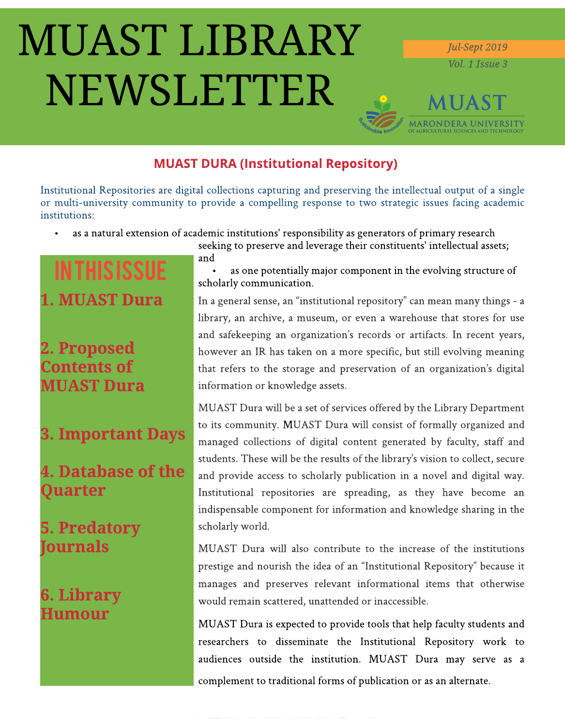# **MUAST LIBRARY** NEWSLETTER

Jul-Sept 2019 Vol. 1 Issue 3

# **MUAST MARONDERA UNIVERSITY**

### **MUAST DURA (Institutional Repository)**

Institutional Repositories are digital collections capturing and preserving the intellectual output of a single or multi-university community to provide a compelling response to two strategic issues facing academic institutions:

as a natural extension of academic institutions' responsibility as generators of primary research  $\bullet$ 

# **IN THIS ISSUE 1. MUAST Dura**

# 2. Proposed **Contents of MUAST Dura**

# **3. Important Days**

# **4. Database of the** Quarter

# **5. Predatory Journals**

# **6. Library** Humour

seeking to preserve and leverage their constituents' intellectual assets; and

as one potentially major component in the evolving structure of scholarly communication.

In a general sense, an "institutional repository" can mean many things - a library, an archive, a museum, or even a warehouse that stores for use and safekeeping an organization's records or artifacts. In recent years, however an IR has taken on a more specific, but still evolving meaning that refers to the storage and preservation of an organization's digital information or knowledge assets.

MUAST Dura will be a set of services offered by the Library Department to its community. MUAST Dura will consist of formally organized and managed collections of digital content generated by faculty, staff and students. These will be the results of the library's vision to collect, secure and provide access to scholarly publication in a novel and digital way. Institutional repositories are spreading, as they have become an indispensable component for information and knowledge sharing in the scholarly world.

MUAST Dura will also contribute to the increase of the institutions prestige and nourish the idea of an "Institutional Repository" because it manages and preserves relevant informational items that otherwise would remain scattered, unattended or inaccessible.

MUAST Dura is expected to provide tools that help faculty students and researchers to disseminate the Institutional Repository work to audiences outside the institution. MUAST Dura may serve as a complement to traditional forms of publication or as an alternate.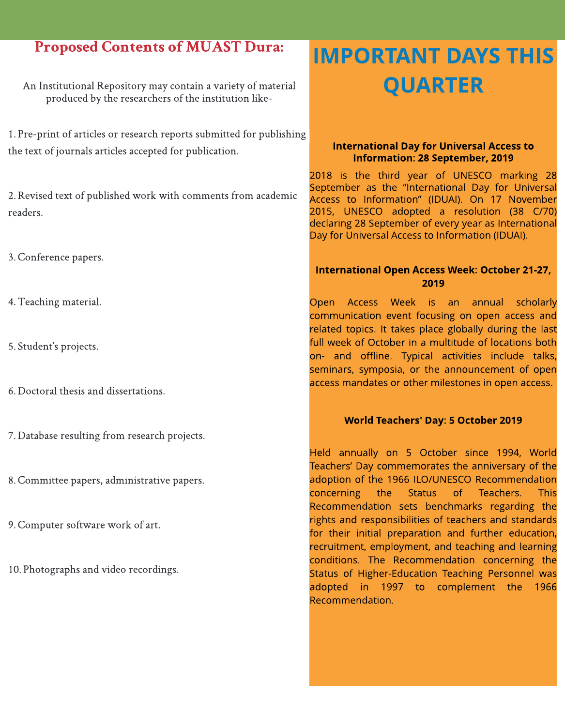### Proposed Contents of MUAST Dura:

An Institutional Repository may contain a variety of material produced by the researchers of the institution like-

1. Pre-print of articles or research reports submitted for publishing the text of journals articles accepted for publication.

2. Revised text of published work with comments from academic readers.

#### 3. Conference papers.

- 4. Teaching material.
- 5. Student's projects.
- 6.Doctoral thesisand dissertations.
- 7. Database resulting from research projects.
- 8. Committee papers, administrative papers.
- 9. Computer software work of art.
- 10. Photographs and video recordings.

# IMPORTANT DAYSTHIS QUARTER

#### **International Day for Universal Access to** Information: 28 September, 2019

2018 is the third year of UNESCO marking 28 September as the "International Day for Universal Access to Information? (IDUAI). On 17 November 2015, UNESCO adopted a resolution (38 C/70) declaring 28 September of every year as International Day for Universal Access to Information (IDUAI).

#### International Open Access Week: October 21-27, 2019

Open Access Week is an annual [scholarly](https://en.wikipedia.org/wiki/Scholarly_communication) [communication](https://en.wikipedia.org/wiki/Scholarly_communication) event focusing on [open](https://en.wikipedia.org/wiki/Open_access) [access](https://en.wikipedia.org/wiki/Open_access) and related topics. It takes place globally during the last full week of October in a multitude of locations both on- and offline. Typical activities include talks, seminars, symposia, or the announcement of [open](https://en.wikipedia.org/wiki/Open_access_mandate) [access](https://en.wikipedia.org/wiki/Open_access_mandate) [mandates](https://en.wikipedia.org/wiki/Open_access_mandate) or other milestones in open access.

#### World Teachers' Day: 5 October 2019

Held annually on 5 October since 1994, World Teachers' Day commemorates the anniversary of the adoption of the 1966 ILO/UNESCO Recommendation concerning the Status of Teachers. This Recommendation sets benchmarks regarding the rights and responsibilities of teachers and standards for their initial preparation and further education, recruitment, employment, and teaching and learning conditions. The Recommendation concerning the Status of Higher-Education Teaching Personnel was adopted in 1997 to complement the 1966 Recommendation.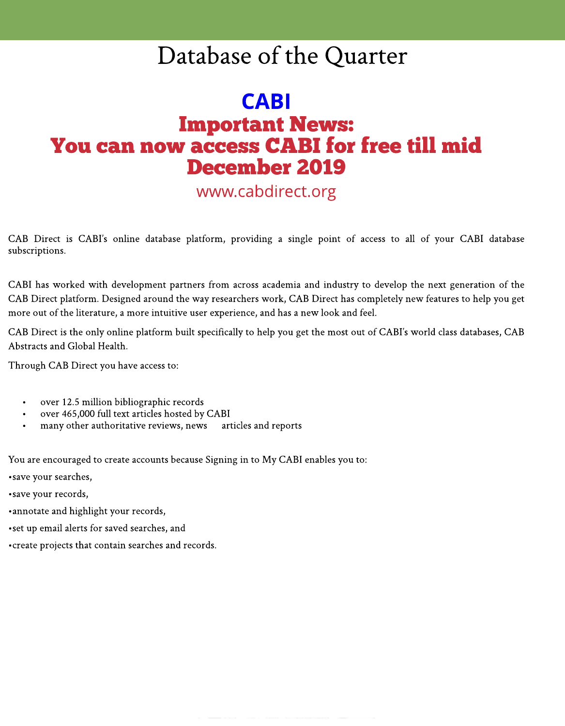# Database of the Quarter

# CABI **Important News:** You can now access CABI for free till mid December 2019

[www.cabdirect.org](http://www.cabdirect.org/)

CAB Direct is CABI?s online database platform, providing a single point of access to all of your CABI database subscriptions.

CABI has worked with development partners from across academia and industry to develop the next generation of the CAB Direct platform. Designed around the way researchers work, CAB Direct has completely new features to help you get more out of the literature, a more intuitive user experience, and has a new look and feel.

CAB Direct is the only online platform built specifically to help you get the most out of CABI's world class databases, CAB Abstracts and Global Health.

Through CAB Direct you have access to:

- over 12.5 million bibliographic records
- over 465,000 full text articles hosted by CABI
- many other authoritative reviews, news articles and reports

You are encouraged to create accounts because Signing in to My CABI enables you to:

• save your searches,

- save your records,
- -annotateand highlight your records,
- set up email alerts for saved searches, and
- create projects that contain searches and records.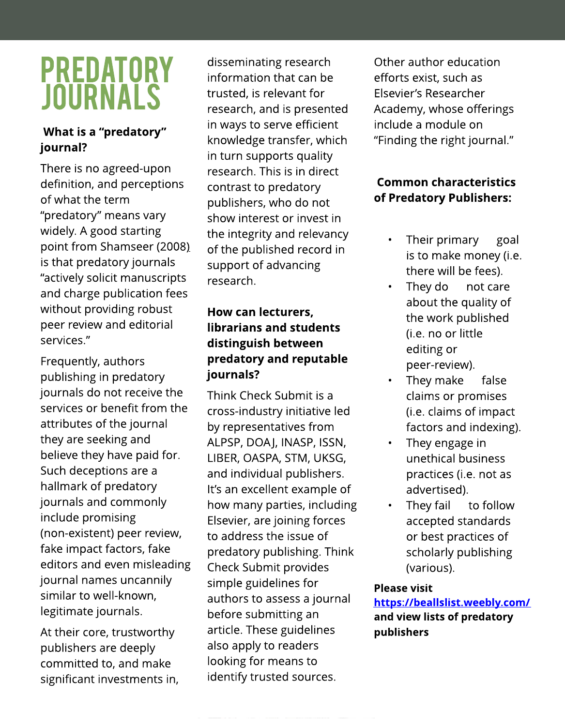# PREDATORY JOURNALS

### What is a "predatory" journal?

There is [no](https://f1000research.com/articles/7-1001/v1) [agreed-upon](https://f1000research.com/articles/7-1001/v1) [definition](https://f1000research.com/articles/7-1001/v1), and perceptions of what the term "predatory" means vary widely. A good starting point from [Shamseer](https://bmcmedicine.biomedcentral.com/articles/10.1186/s12916-017-0785-9) [\(2008\)](https://bmcmedicine.biomedcentral.com/articles/10.1186/s12916-017-0785-9) is that predatory journals "actively solicit manuscripts and charge publication fees without providing robust peer review and editorial services."

Frequently, authors publishing in predatory journals do not receive the services or benefit from the attributes of the journal they are seeking and believe they have paid for. Such deceptions are a hallmark of predatory journals and commonly include promising (non-existent) peer review, fake impact factors, fake editors and even misleading journal names uncannily similar to well-known, legitimate journals.

At their core, trustworthy publishers are deeply committed to, and make significant investments in,

disseminating research information that can be trusted, is relevant for research, and is presented in ways to serve efficient knowledge transfer, which in turn supports quality research. This is in direct contrast to predatory publishers, who do not show interest or invest in the integrity and relevancy of the published record in support of advancing research.

### How can lecturers, librarians and students distinguish between predatory and reputable journals?

[Think](https://thinkchecksubmit.org/) [Check](https://thinkchecksubmit.org/) [Submit](https://thinkchecksubmit.org/) is a cross-industry initiative led by representatives from ALPSP, DOAJ, INASP, ISSN, LIBER, OASPA, STM, UKSG, and individual publishers. It's an excellent example of how many parties, including Elsevier, are joining forces to address the issue of predatory publishing. Think Check Submit provides simple guidelines for authors to assess a journal before submitting an article. These guidelines also apply to readers looking for means to identify trusted sources.

Other author education efforts exist, such as Elsevier?s [Researcher](https://researcheracademy.elsevier.com/) [Academy,](https://researcheracademy.elsevier.com/) whose offerings include a module on "Finding the right journal."

### **Common characteristics** of Predatory Publishers:

- Their primary goal is to make money (i.e. there will be fees).
- They do not care about the quality of the work published (i.e. no or little editing or peer-review).
- They make false claims or promises (i.e. claims of impact factors and indexing).
- They engage in unethical business practices (i.e. not as advertised).
- They fail to follow accepted standards or best practices of scholarly publishing (various).

#### Please visit

htt[ps://beallslist](https://beallslist.weebly.com/).weebly.com/ and view lists of predatory publishers